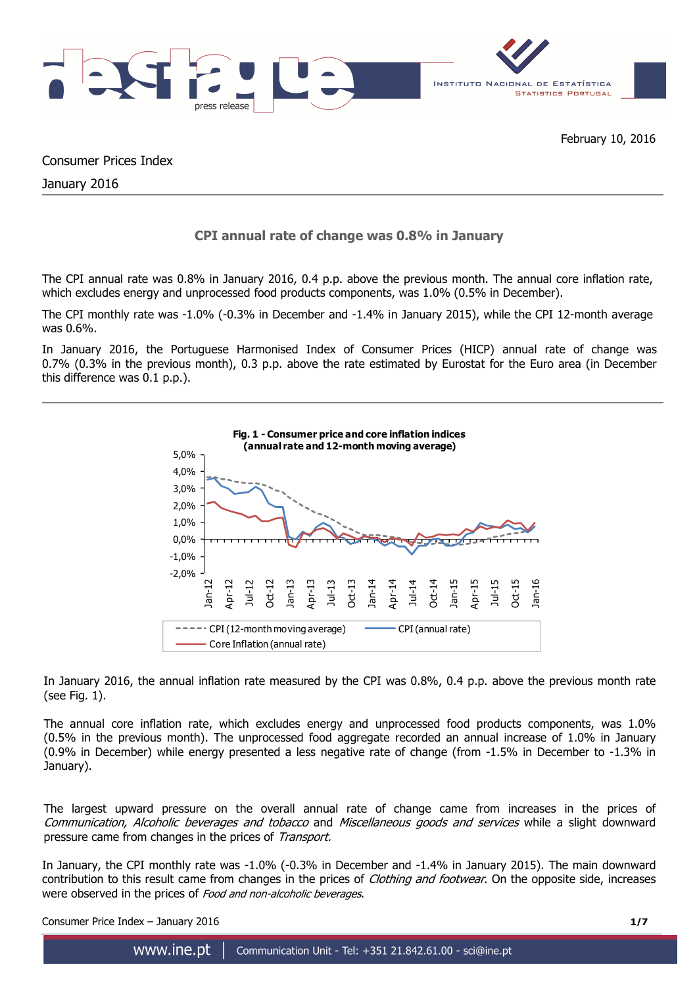

Consumer Prices Index

January 2016

# **CPI annual rate of change was 0.8% in January**

The CPI annual rate was 0.8% in January 2016, 0.4 p.p. above the previous month. The annual core inflation rate, which excludes energy and unprocessed food products components, was 1.0% (0.5% in December).

The CPI monthly rate was -1.0% (-0.3% in December and -1.4% in January 2015), while the CPI 12-month average was 0.6%.

In January 2016, the Portuguese Harmonised Index of Consumer Prices (HICP) annual rate of change was 0.7% (0.3% in the previous month), 0.3 p.p. above the rate estimated by Eurostat for the Euro area (in December this difference was 0.1 p.p.).



In January 2016, the annual inflation rate measured by the CPI was 0.8%, 0.4 p.p. above the previous month rate (see Fig. 1).

The annual core inflation rate, which excludes energy and unprocessed food products components, was 1.0% (0.5% in the previous month). The unprocessed food aggregate recorded an annual increase of 1.0% in January (0.9% in December) while energy presented a less negative rate of change (from -1.5% in December to -1.3% in January).

The largest upward pressure on the overall annual rate of change came from increases in the prices of Communication, Alcoholic beverages and tobacco and Miscellaneous goods and services while a slight downward pressure came from changes in the prices of Transport.

In January, the CPI monthly rate was -1.0% (-0.3% in December and -1.4% in January 2015). The main downward contribution to this result came from changes in the prices of *Clothing and footwear*. On the opposite side, increases were observed in the prices of Food and non-alcoholic beverages.

Consumer Price Index – January 2016 **1/7**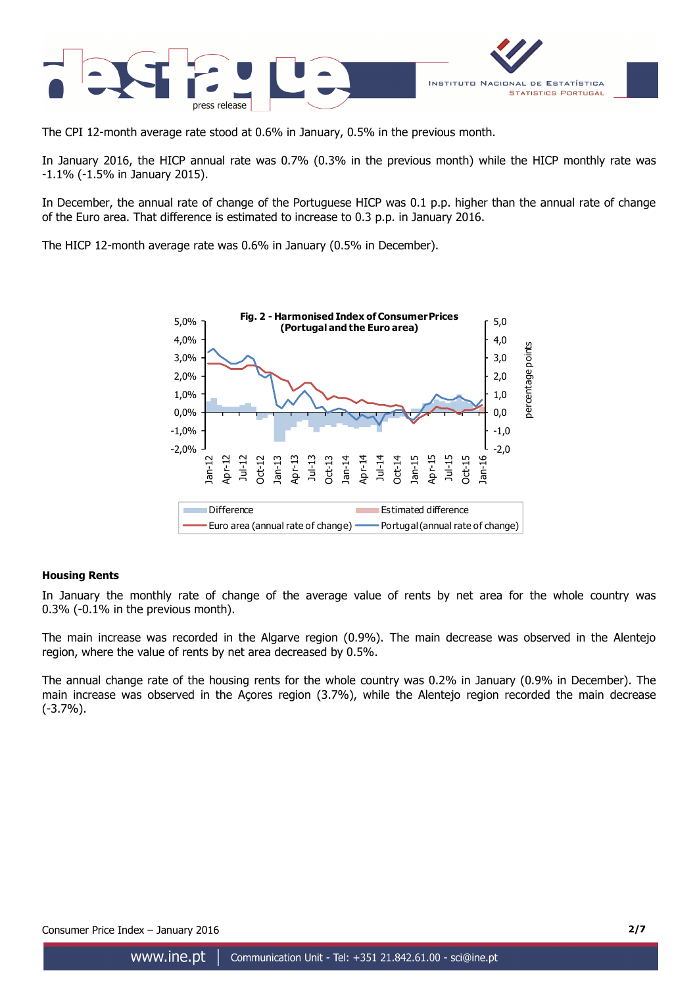

The CPI 12-month average rate stood at 0.6% in January, 0.5% in the previous month.

In January 2016, the HICP annual rate was 0.7% (0.3% in the previous month) while the HICP monthly rate was -1.1% (-1.5% in January 2015).

In December, the annual rate of change of the Portuguese HICP was 0.1 p.p. higher than the annual rate of change of the Euro area. That difference is estimated to increase to 0.3 p.p. in January 2016.

The HICP 12-month average rate was 0.6% in January (0.5% in December).



# **Housing Rents**

In January the monthly rate of change of the average value of rents by net area for the whole country was 0.3% (-0.1% in the previous month).

The main increase was recorded in the Algarve region (0.9%). The main decrease was observed in the Alentejo region, where the value of rents by net area decreased by 0.5%.

The annual change rate of the housing rents for the whole country was 0.2% in January (0.9% in December). The main increase was observed in the Açores region (3.7%), while the Alentejo region recorded the main decrease (-3.7%).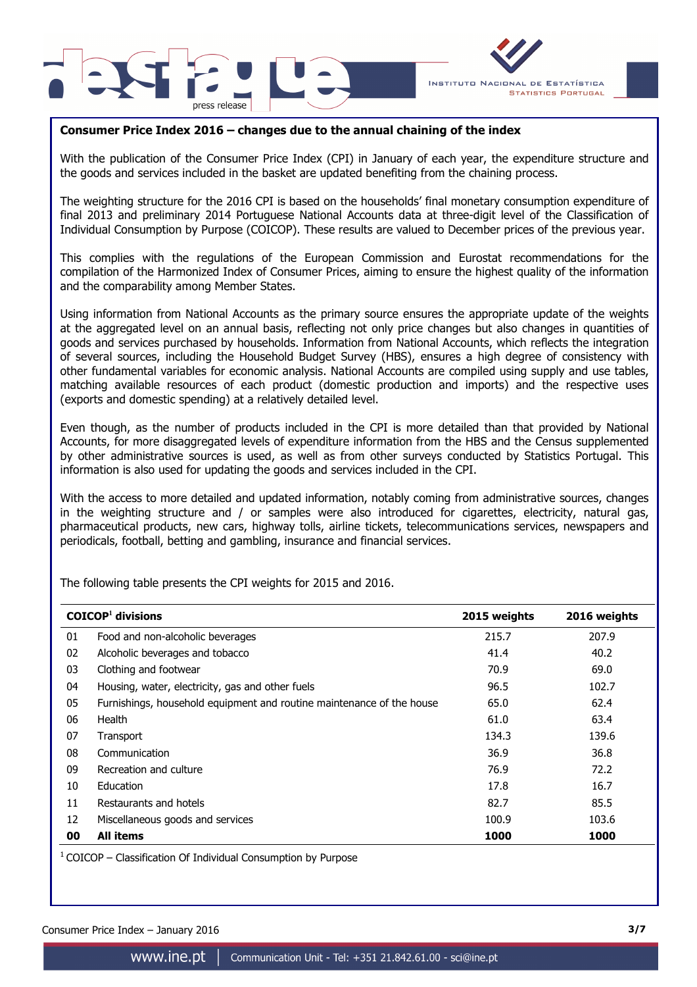



# **Consumer Price Index 2016 – changes due to the annual chaining of the index**

With the publication of the Consumer Price Index (CPI) in January of each year, the expenditure structure and the goods and services included in the basket are updated benefiting from the chaining process.

The weighting structure for the 2016 CPI is based on the households' final monetary consumption expenditure of final 2013 and preliminary 2014 Portuguese National Accounts data at three-digit level of the Classification of Individual Consumption by Purpose (COICOP). These results are valued to December prices of the previous year.

This complies with the regulations of the European Commission and Eurostat recommendations for the compilation of the Harmonized Index of Consumer Prices, aiming to ensure the highest quality of the information and the comparability among Member States.

Using information from National Accounts as the primary source ensures the appropriate update of the weights at the aggregated level on an annual basis, reflecting not only price changes but also changes in quantities of goods and services purchased by households. Information from National Accounts, which reflects the integration of several sources, including the Household Budget Survey (HBS), ensures a high degree of consistency with other fundamental variables for economic analysis. National Accounts are compiled using supply and use tables, matching available resources of each product (domestic production and imports) and the respective uses (exports and domestic spending) at a relatively detailed level.

Even though, as the number of products included in the CPI is more detailed than that provided by National Accounts, for more disaggregated levels of expenditure information from the HBS and the Census supplemented by other administrative sources is used, as well as from other surveys conducted by Statistics Portugal. This information is also used for updating the goods and services included in the CPI.

With the access to more detailed and updated information, notably coming from administrative sources, changes in the weighting structure and / or samples were also introduced for cigarettes, electricity, natural gas, pharmaceutical products, new cars, highway tolls, airline tickets, telecommunications services, newspapers and periodicals, football, betting and gambling, insurance and financial services.

|    | $COICOP1$ divisions                                                   | 2015 weights | 2016 weights |
|----|-----------------------------------------------------------------------|--------------|--------------|
| 01 | Food and non-alcoholic beverages                                      | 215.7        | 207.9        |
| 02 | Alcoholic beverages and tobacco                                       | 41.4         | 40.2         |
| 03 | Clothing and footwear                                                 | 70.9         | 69.0         |
| 04 | Housing, water, electricity, gas and other fuels                      | 96.5         | 102.7        |
| 05 | Furnishings, household equipment and routine maintenance of the house | 65.0         | 62.4         |
| 06 | Health                                                                | 61.0         | 63.4         |
| 07 | Transport                                                             | 134.3        | 139.6        |
| 08 | Communication                                                         | 36.9         | 36.8         |
| 09 | Recreation and culture                                                | 76.9         | 72.2         |
| 10 | Education                                                             | 17.8         | 16.7         |
| 11 | Restaurants and hotels                                                | 82.7         | 85.5         |
| 12 | Miscellaneous goods and services                                      | 100.9        | 103.6        |
| 00 | <b>All items</b>                                                      | 1000         | 1000         |

The following table presents the CPI weights for 2015 and 2016.

 $1$  COICOP – Classification Of Individual Consumption by Purpose

Consumer Price Index – January 2016 **3/7**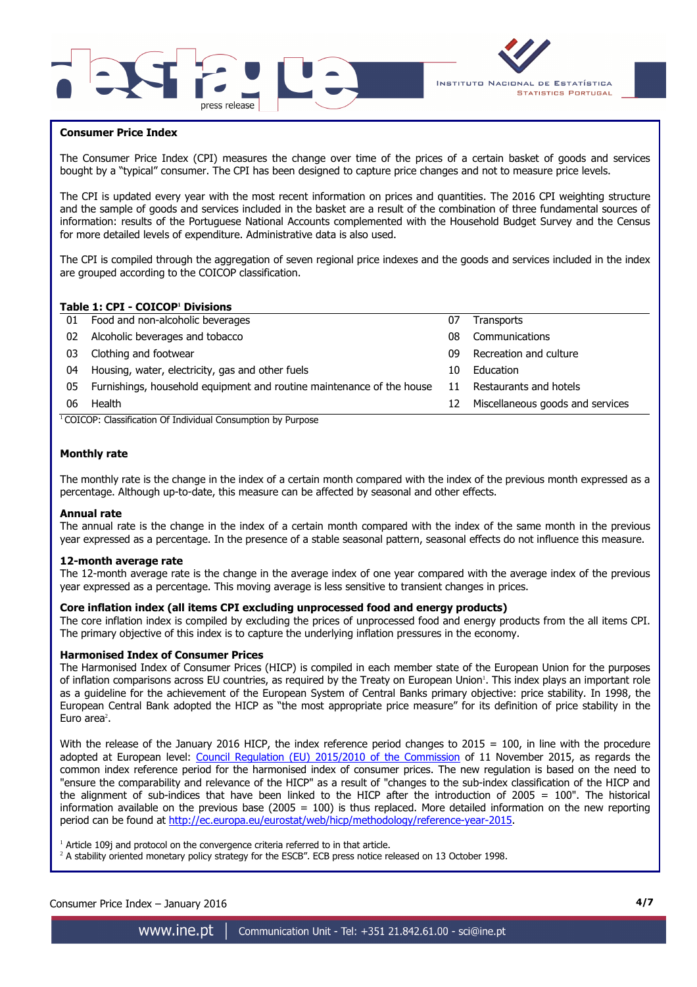



### **Consumer Price Index**

I

The Consumer Price Index (CPI) measures the change over time of the prices of a certain basket of goods and services bought by a "typical" consumer. The CPI has been designed to capture price changes and not to measure price levels.

The CPI is updated every year with the most recent information on prices and quantities. The 2016 CPI weighting structure and the sample of goods and services included in the basket are a result of the combination of three fundamental sources of information: results of the Portuguese National Accounts complemented with the Household Budget Survey and the Census for more detailed levels of expenditure. Administrative data is also used.

The CPI is compiled through the aggregation of seven regional price indexes and the goods and services included in the index are grouped according to the COICOP classification.

### **Table 1: CPI - COICOP<sup>1</sup> Divisions**

| 01 | Food and non-alcoholic beverages                                      | 07 | Transports                       |
|----|-----------------------------------------------------------------------|----|----------------------------------|
| 02 | Alcoholic beverages and tobacco                                       | 08 | Communications                   |
| 03 | Clothing and footwear                                                 | 09 | Recreation and culture           |
| 04 | Housing, water, electricity, gas and other fuels                      | 10 | Education                        |
| 05 | Furnishings, household equipment and routine maintenance of the house | 11 | Restaurants and hotels           |
| 06 | Health                                                                | 12 | Miscellaneous goods and services |
|    | COICOD: Classification Of Individual Consumption by Dumeses           |    |                                  |

<sup>1</sup>COICOP: Classification Of Individual Consumption by Purpose

# **Monthly rate**

The monthly rate is the change in the index of a certain month compared with the index of the previous month expressed as a percentage. Although up-to-date, this measure can be affected by seasonal and other effects.

#### **Annual rate**

The annual rate is the change in the index of a certain month compared with the index of the same month in the previous year expressed as a percentage. In the presence of a stable seasonal pattern, seasonal effects do not influence this measure.

#### **12-month average rate**

The 12-month average rate is the change in the average index of one year compared with the average index of the previous year expressed as a percentage. This moving average is less sensitive to transient changes in prices.

## **Core inflation index (all items CPI excluding unprocessed food and energy products)**

The core inflation index is compiled by excluding the prices of unprocessed food and energy products from the all items CPI. The primary objective of this index is to capture the underlying inflation pressures in the economy.

#### **Harmonised Index of Consumer Prices**

The Harmonised Index of Consumer Prices (HICP) is compiled in each member state of the European Union for the purposes of inflation comparisons across EU countries, as required by the Treaty on European Union'. This index plays an important role as a guideline for the achievement of the European System of Central Banks primary objective: price stability. In 1998, the European Central Bank adopted the HICP as "the most appropriate price measure" for its definition of price stability in the Euro area<sup>2</sup>.

With the release of the January 2016 HICP, the index reference period changes to  $2015 = 100$ , in line with the procedure adopted at European level: Council Regulation (EU) 2015/2010 of the Commission of 11 November 2015, as regards the common index reference period for the harmonised index of consumer prices. The new regulation is based on the need to "ensure the comparability and relevance of the HICP" as a result of "changes to the sub-index classification of the HICP and the alignment of sub-indices that have been linked to the HICP after the introduction of 2005 = 100". The historical information available on the previous base (2005 = 100) is thus replaced. More detailed information on the new reporting period can be found at http://ec.europa.eu/eurostat/web/hicp/methodology/reference-year-2015.

<sup>1</sup> Article 109j and protocol on the convergence criteria referred to in that article.

<sup>2</sup> A stability oriented monetary policy strategy for the ESCB". ECB press notice released on 13 October 1998.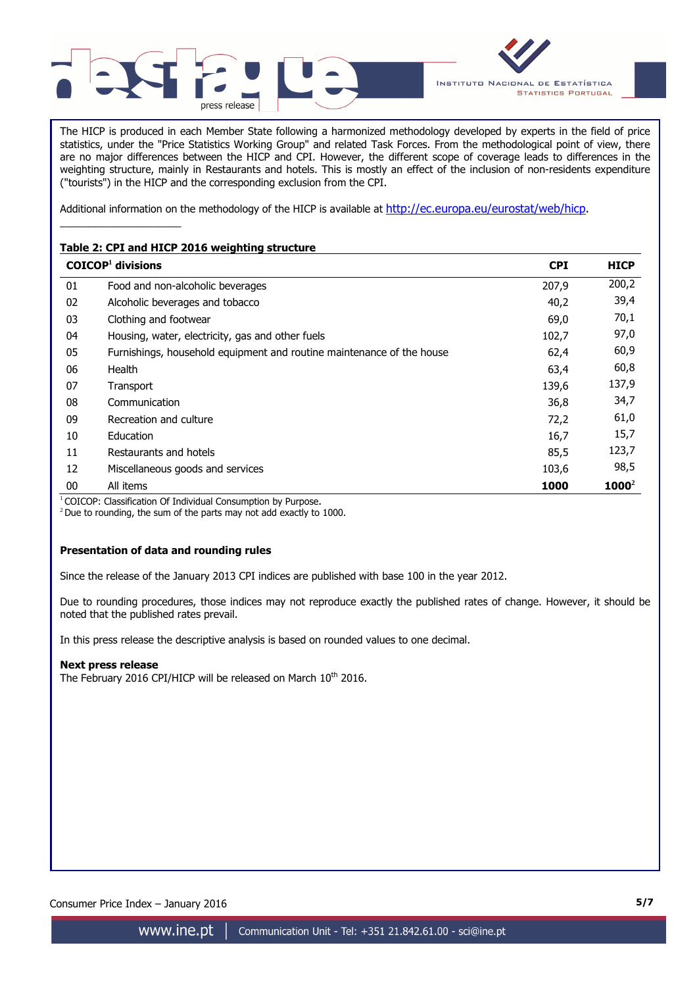



The HICP is produced in each Member State following a harmonized methodology developed by experts in the field of price statistics, under the "Price Statistics Working Group" and related Task Forces. From the methodological point of view, there are no major differences between the HICP and CPI. However, the different scope of coverage leads to differences in the weighting structure, mainly in Restaurants and hotels. This is mostly an effect of the inclusion of non-residents expenditure ("tourists") in the HICP and the corresponding exclusion from the CPI.

Additional information on the methodology of the HICP is available at http://ec.europa.eu/eurostat/web/hicp.

# **Table 2: CPI and HICP 2016 weighting structure**

\_\_\_\_\_\_\_\_\_\_\_\_\_\_\_\_\_\_\_\_\_

|    | $COICOP1$ divisions                                                   | <b>CPI</b> | <b>HICP</b> |
|----|-----------------------------------------------------------------------|------------|-------------|
| 01 | Food and non-alcoholic beverages                                      | 207,9      | 200,2       |
| 02 | Alcoholic beverages and tobacco                                       | 40,2       | 39,4        |
| 03 | Clothing and footwear                                                 | 69,0       | 70,1        |
| 04 | Housing, water, electricity, gas and other fuels                      | 102,7      | 97,0        |
| 05 | Furnishings, household equipment and routine maintenance of the house | 62,4       | 60,9        |
| 06 | Health                                                                | 63,4       | 60,8        |
| 07 | Transport                                                             | 139,6      | 137,9       |
| 08 | Communication                                                         | 36,8       | 34,7        |
| 09 | Recreation and culture                                                | 72,2       | 61,0        |
| 10 | Education                                                             | 16,7       | 15,7        |
| 11 | Restaurants and hotels                                                | 85,5       | 123,7       |
| 12 | Miscellaneous goods and services                                      | 103,6      | 98,5        |
| 00 | All items                                                             | 1000       | $1000^2$    |

<sup>1</sup> COICOP: Classification Of Individual Consumption by Purpose.

 $2$  Due to rounding, the sum of the parts may not add exactly to 1000.

# **Presentation of data and rounding rules**

Since the release of the January 2013 CPI indices are published with base 100 in the year 2012.

Due to rounding procedures, those indices may not reproduce exactly the published rates of change. However, it should be noted that the published rates prevail.

In this press release the descriptive analysis is based on rounded values to one decimal.

# **Next press release**

The February 2016 CPI/HICP will be released on March 10<sup>th</sup> 2016.

Consumer Price Index – January 2016 **5/7**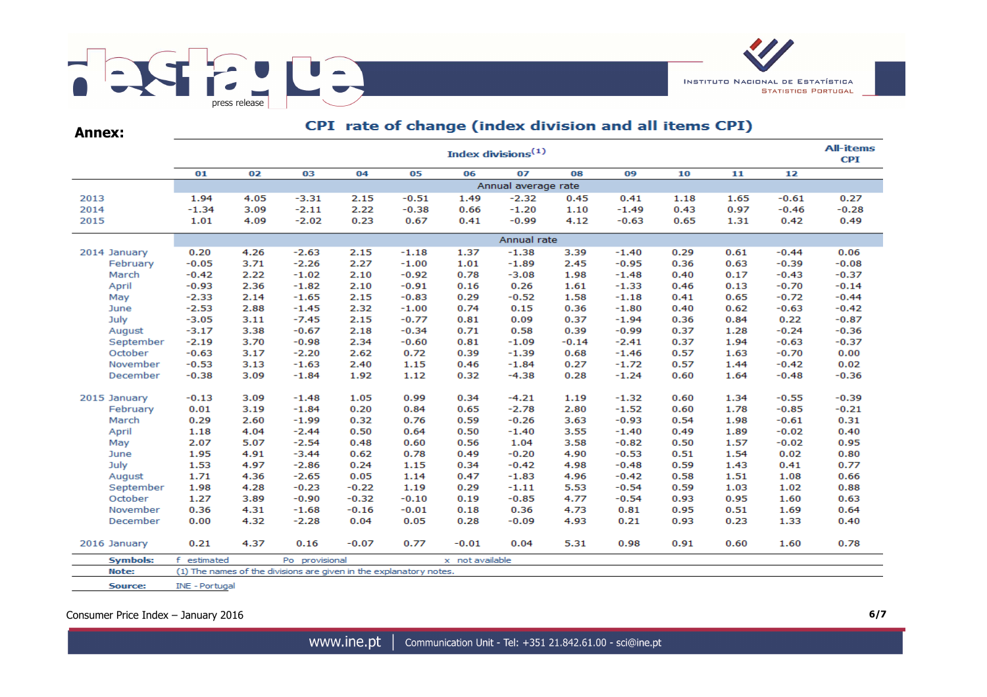

**Annex:**

# CPI rate of change (index division and all items CPI)

|                 | <b>All-items</b><br>Index divisions <sup>(1)</sup> |      |                                                                    |         |         |                 |         |         |         |      |      |         |         |  |
|-----------------|----------------------------------------------------|------|--------------------------------------------------------------------|---------|---------|-----------------|---------|---------|---------|------|------|---------|---------|--|
|                 | 01                                                 | 02   | 03                                                                 | 04      | 05      | 06              | 07      | 08      | 09      | 10   | 11   | 12      |         |  |
|                 | Annual average rate                                |      |                                                                    |         |         |                 |         |         |         |      |      |         |         |  |
| 2013            | 1.94                                               | 4.05 | $-3.31$                                                            | 2.15    | $-0.51$ | 1.49            | $-2.32$ | 0.45    | 0.41    | 1.18 | 1.65 | $-0.61$ | 0.27    |  |
| 2014            | $-1.34$                                            | 3.09 | $-2.11$                                                            | 2.22    | $-0.38$ | 0.66            | $-1.20$ | 1.10    | $-1.49$ | 0.43 | 0.97 | $-0.46$ | $-0.28$ |  |
| 2015            | 1.01                                               | 4.09 | $-2.02$                                                            | 0.23    | 0.67    | 0.41            | $-0.99$ | 4.12    | $-0.63$ | 0.65 | 1.31 | 0.42    | 0.49    |  |
|                 |                                                    |      |                                                                    |         |         |                 |         |         |         |      |      |         |         |  |
| 2014 January    | 0.20                                               | 4.26 | $-2.63$                                                            | 2.15    | $-1.18$ | 1.37            | $-1.38$ | 3.39    | $-1.40$ | 0.29 | 0.61 | $-0.44$ | 0.06    |  |
| February        | $-0.05$                                            | 3.71 | $-2.26$                                                            | 2.27    | $-1.00$ | 1.01            | $-1.89$ | 2.45    | $-0.95$ | 0.36 | 0.63 | $-0.39$ | $-0.08$ |  |
| March           | $-0.42$                                            | 2.22 | $-1.02$                                                            | 2.10    | $-0.92$ | 0.78            | $-3.08$ | 1.98    | $-1.48$ | 0.40 | 0.17 | $-0.43$ | $-0.37$ |  |
| April           | $-0.93$                                            | 2.36 | $-1.82$                                                            | 2.10    | $-0.91$ | 0.16            | 0.26    | 1.61    | $-1.33$ | 0.46 | 0.13 | $-0.70$ | $-0.14$ |  |
| May             | $-2.33$                                            | 2.14 | $-1.65$                                                            | 2.15    | $-0.83$ | 0.29            | $-0.52$ | 1.58    | $-1.18$ | 0.41 | 0.65 | $-0.72$ | $-0.44$ |  |
| June            | $-2.53$                                            | 2.88 | $-1.45$                                                            | 2.32    | $-1.00$ | 0.74            | 0.15    | 0.36    | $-1.80$ | 0.40 | 0.62 | $-0.63$ | $-0.42$ |  |
| July            | $-3.05$                                            | 3.11 | $-7.45$                                                            | 2.15    | $-0.77$ | 0.81            | 0.09    | 0.37    | $-1.94$ | 0.36 | 0.84 | 0.22    | $-0.87$ |  |
| August          | $-3.17$                                            | 3.38 | $-0.67$                                                            | 2.18    | $-0.34$ | 0.71            | 0.58    | 0.39    | $-0.99$ | 0.37 | 1.28 | $-0.24$ | $-0.36$ |  |
| September       | $-2.19$                                            | 3.70 | $-0.98$                                                            | 2.34    | $-0.60$ | 0.81            | $-1.09$ | $-0.14$ | $-2.41$ | 0.37 | 1.94 | $-0.63$ | $-0.37$ |  |
| October         | $-0.63$                                            | 3.17 | $-2.20$                                                            | 2.62    | 0.72    | 0.39            | $-1.39$ | 0.68    | $-1.46$ | 0.57 | 1.63 | $-0.70$ | 0.00    |  |
| November        | $-0.53$                                            | 3.13 | $-1.63$                                                            | 2.40    | 1.15    | 0.46            | $-1.84$ | 0.27    | $-1.72$ | 0.57 | 1.44 | $-0.42$ | 0.02    |  |
| December        | $-0.38$                                            | 3.09 | $-1.84$                                                            | 1.92    | 1.12    | 0.32            | $-4.38$ | 0.28    | $-1.24$ | 0.60 | 1.64 | $-0.48$ | $-0.36$ |  |
| 2015 January    | $-0.13$                                            | 3.09 | $-1.48$                                                            | 1.05    | 0.99    | 0.34            | $-4.21$ | 1.19    | $-1.32$ | 0.60 | 1.34 | $-0.55$ | $-0.39$ |  |
| February        | 0.01                                               | 3.19 | $-1.84$                                                            | 0.20    | 0.84    | 0.65            | $-2.78$ | 2.80    | $-1.52$ | 0.60 | 1.78 | $-0.85$ | $-0.21$ |  |
| March           | 0.29                                               | 2.60 | $-1.99$                                                            | 0.32    | 0.76    | 0.59            | $-0.26$ | 3.63    | $-0.93$ | 0.54 | 1.98 | $-0.61$ | 0.31    |  |
| April           | 1.18                                               | 4.04 | $-2.44$                                                            | 0.50    | 0.64    | 0.50            | $-1.40$ | 3.55    | $-1.40$ | 0.49 | 1.89 | $-0.02$ | 0.40    |  |
| May             | 2.07                                               | 5.07 | $-2.54$                                                            | 0.48    | 0.60    | 0.56            | 1.04    | 3.58    | $-0.82$ | 0.50 | 1.57 | $-0.02$ | 0.95    |  |
| June            | 1.95                                               | 4.91 | $-3.44$                                                            | 0.62    | 0.78    | 0.49            | $-0.20$ | 4.90    | $-0.53$ | 0.51 | 1.54 | 0.02    | 0.80    |  |
| July            | 1.53                                               | 4.97 | $-2.86$                                                            | 0.24    | 1.15    | 0.34            | $-0.42$ | 4.98    | $-0.48$ | 0.59 | 1.43 | 0.41    | 0.77    |  |
| August          | 1.71                                               | 4.36 | $-2.65$                                                            | 0.05    | 1.14    | 0.47            | $-1.83$ | 4.96    | $-0.42$ | 0.58 | 1.51 | 1.08    | 0.66    |  |
| September       | 1.98                                               | 4.28 | $-0.23$                                                            | $-0.22$ | 1.19    | 0.29            | $-1.11$ | 5.53    | $-0.54$ | 0.59 | 1.03 | 1.02    | 0.88    |  |
| October         | 1.27                                               | 3.89 | $-0.90$                                                            | $-0.32$ | $-0.10$ | 0.19            | $-0.85$ | 4.77    | $-0.54$ | 0.93 | 0.95 | 1.60    | 0.63    |  |
| November        | 0.36                                               | 4.31 | $-1.68$                                                            | $-0.16$ | $-0.01$ | 0.18            | 0.36    | 4.73    | 0.81    | 0.95 | 0.51 | 1.69    | 0.64    |  |
| December        | 0.00                                               | 4.32 | $-2.28$                                                            | 0.04    | 0.05    | 0.28            | $-0.09$ | 4.93    | 0.21    | 0.93 | 0.23 | 1.33    | 0.40    |  |
| 2016 January    | 0.21                                               | 4.37 | 0.16                                                               | $-0.07$ | 0.77    | $-0.01$         | 0.04    | 5.31    | 0.98    | 0.91 | 0.60 | 1.60    | 0.78    |  |
| <b>Symbols:</b> | f estimated                                        |      | Po provisional                                                     |         |         | x not available |         |         |         |      |      |         |         |  |
| Note:           |                                                    |      | (1) The names of the divisions are given in the explanatory notes. |         |         |                 |         |         |         |      |      |         |         |  |
| Source:         | INE - Portugal                                     |      |                                                                    |         |         |                 |         |         |         |      |      |         |         |  |

Consumer Price Index – January 2016 **6/7**